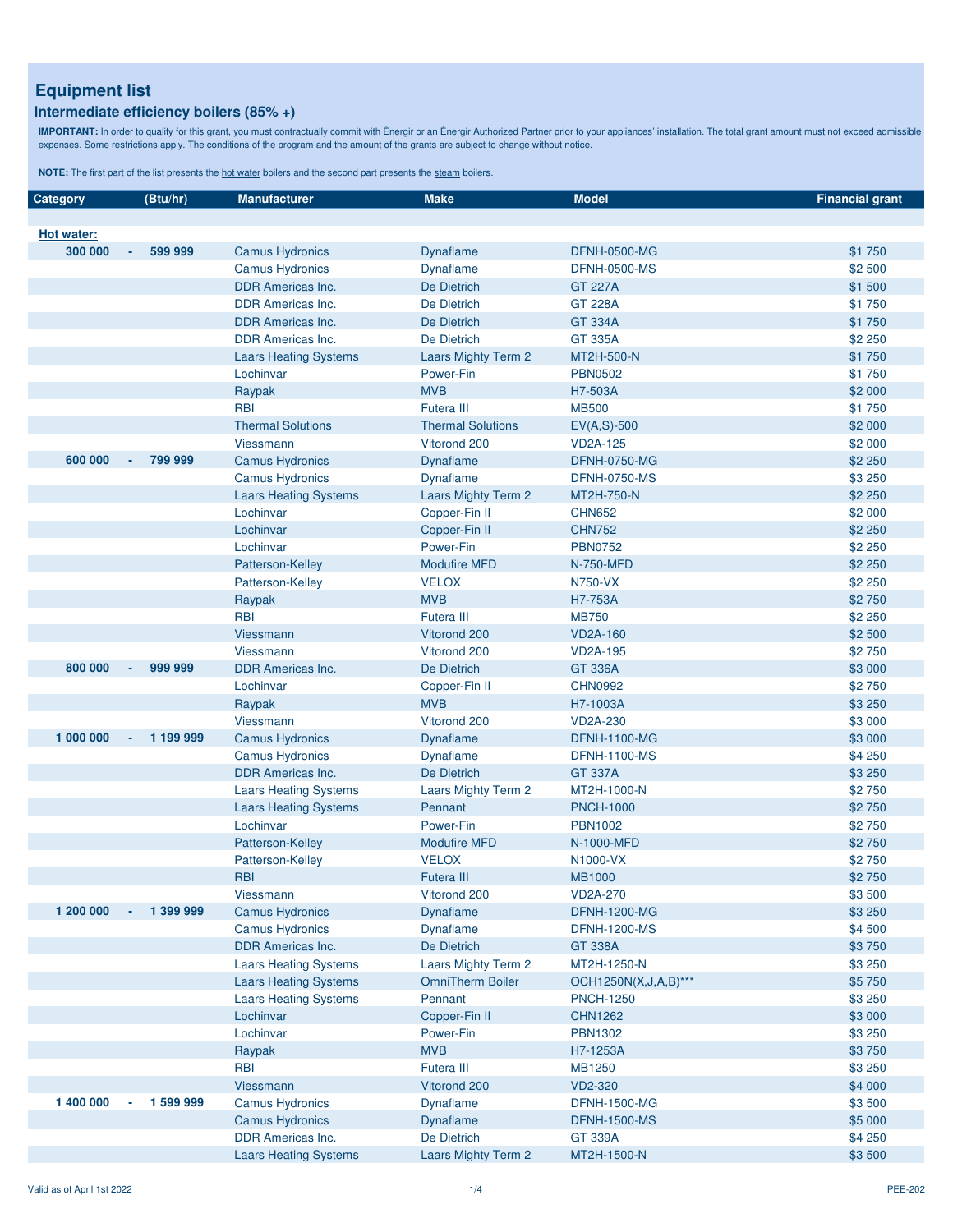#### **Intermediate efficiency boilers (85% +)**

IMPORTANT: In order to qualify for this grant, you must contractually commit with Energir or an Energir Authorized Partner prior to your appliances' installation. The total grant amount must not exceed admissible<br>expenses.

| Category          |        | (Btu/hr)   | <b>Manufacturer</b>          | <b>Make</b>                | <b>Model</b>         | <b>Financial grant</b> |
|-------------------|--------|------------|------------------------------|----------------------------|----------------------|------------------------|
|                   |        |            |                              |                            |                      |                        |
| <b>Hot water:</b> |        |            |                              |                            |                      |                        |
| 300 000           | $\sim$ | 599 999    | <b>Camus Hydronics</b>       | Dynaflame                  | <b>DFNH-0500-MG</b>  | \$1 750                |
|                   |        |            | <b>Camus Hydronics</b>       | <b>Dynaflame</b>           | <b>DFNH-0500-MS</b>  | \$2 500                |
|                   |        |            | <b>DDR Americas Inc.</b>     | De Dietrich                | <b>GT 227A</b>       | \$1 500                |
|                   |        |            | <b>DDR</b> Americas Inc.     | De Dietrich                | <b>GT 228A</b>       | \$1750                 |
|                   |        |            | <b>DDR Americas Inc.</b>     | De Dietrich                | <b>GT 334A</b>       | \$1 750                |
|                   |        |            | <b>DDR Americas Inc.</b>     | De Dietrich                | <b>GT 335A</b>       | \$2 250                |
|                   |        |            | <b>Laars Heating Systems</b> | <b>Laars Mighty Term 2</b> | MT2H-500-N           | \$1 750                |
|                   |        |            | Lochinvar                    | Power-Fin                  | <b>PBN0502</b>       | \$1 750                |
|                   |        |            | Raypak                       | <b>MVB</b>                 | H7-503A              | \$2 000                |
|                   |        |            | <b>RBI</b>                   | Futera III                 | <b>MB500</b>         | \$1 750                |
|                   |        |            | <b>Thermal Solutions</b>     | <b>Thermal Solutions</b>   | $EV(A, S)-500$       | \$2 000                |
|                   |        |            | Viessmann                    | Vitorond 200               | <b>VD2A-125</b>      | \$2 000                |
| 600 000           |        | 799 999    | <b>Camus Hydronics</b>       | <b>Dynaflame</b>           | <b>DFNH-0750-MG</b>  | \$2 250                |
|                   |        |            | <b>Camus Hydronics</b>       | <b>Dynaflame</b>           | <b>DFNH-0750-MS</b>  | \$3 250                |
|                   |        |            | <b>Laars Heating Systems</b> | <b>Laars Mighty Term 2</b> | MT2H-750-N           | \$2 250                |
|                   |        |            | Lochinvar                    | Copper-Fin II              | <b>CHN652</b>        | \$2 000                |
|                   |        |            | Lochinvar                    | Copper-Fin II              | <b>CHN752</b>        | \$2 250                |
|                   |        |            | Lochinvar                    | Power-Fin                  | <b>PBN0752</b>       | \$2 250                |
|                   |        |            | Patterson-Kelley             | <b>Modufire MFD</b>        | <b>N-750-MFD</b>     | \$2 250                |
|                   |        |            | Patterson-Kelley             | <b>VELOX</b>               | <b>N750-VX</b>       | \$2 250                |
|                   |        |            | Raypak                       | <b>MVB</b>                 | H7-753A              | \$2 750                |
|                   |        |            | <b>RBI</b>                   | <b>Futera III</b>          | <b>MB750</b>         | \$2 250                |
|                   |        |            | <b>Viessmann</b>             | Vitorond 200               | <b>VD2A-160</b>      | \$2 500                |
|                   |        |            | Viessmann                    | Vitorond 200               | <b>VD2A-195</b>      | \$2 750                |
| 800 000           |        | 999 999    | <b>DDR Americas Inc.</b>     | De Dietrich                | <b>GT 336A</b>       | \$3 000                |
|                   |        |            | Lochinvar                    | Copper-Fin II              | <b>CHN0992</b>       | \$2750                 |
|                   |        |            | Raypak                       | <b>MVB</b>                 | H7-1003A             | \$3 250                |
|                   |        |            | Viessmann                    | Vitorond 200               | <b>VD2A-230</b>      | \$3 000                |
| 1 000 000         | $\sim$ | 1 199 999  | <b>Camus Hydronics</b>       | Dynaflame                  | <b>DFNH-1100-MG</b>  | \$3 000                |
|                   |        |            | <b>Camus Hydronics</b>       | <b>Dynaflame</b>           | <b>DFNH-1100-MS</b>  | \$4 250                |
|                   |        |            | <b>DDR Americas Inc.</b>     | De Dietrich                | <b>GT 337A</b>       | \$3 250                |
|                   |        |            | <b>Laars Heating Systems</b> | Laars Mighty Term 2        | MT2H-1000-N          | \$2750                 |
|                   |        |            | <b>Laars Heating Systems</b> | Pennant                    | <b>PNCH-1000</b>     | \$2750                 |
|                   |        |            | Lochinvar                    | Power-Fin                  | <b>PBN1002</b>       | \$2750                 |
|                   |        |            | Patterson-Kelley             | <b>Modufire MFD</b>        | N-1000-MFD           | \$2 750                |
|                   |        |            | Patterson-Kelley             | <b>VELOX</b>               | N1000-VX             | \$2 750                |
|                   |        |            | <b>RBI</b>                   | Futera III                 | <b>MB1000</b>        | \$2 750                |
|                   |        |            | Viessmann                    | Vitorond 200               | <b>VD2A-270</b>      | \$3 500                |
| 1 200 000         |        | $-1399999$ | <b>Camus Hydronics</b>       | <b>Dynaflame</b>           | <b>DFNH-1200-MG</b>  | \$3 250                |
|                   |        |            | <b>Camus Hydronics</b>       | <b>Dynaflame</b>           | <b>DFNH-1200-MS</b>  | \$4 500                |
|                   |        |            | <b>DDR Americas Inc.</b>     | De Dietrich                | <b>GT 338A</b>       | \$3750                 |
|                   |        |            | <b>Laars Heating Systems</b> | Laars Mighty Term 2        | MT2H-1250-N          | \$3 250                |
|                   |        |            | <b>Laars Heating Systems</b> | <b>OmniTherm Boiler</b>    | OCH1250N(X,J,A,B)*** | \$5750                 |
|                   |        |            | <b>Laars Heating Systems</b> | Pennant                    | <b>PNCH-1250</b>     | \$3 250                |
|                   |        |            | Lochinvar                    | Copper-Fin II              | <b>CHN1262</b>       | \$3 000                |
|                   |        |            | Lochinvar                    | Power-Fin                  | <b>PBN1302</b>       | \$3 250                |
|                   |        |            | Raypak                       | <b>MVB</b>                 | H7-1253A             | \$3750                 |
|                   |        |            | <b>RBI</b>                   | Futera III                 | MB1250               | \$3 250                |
|                   |        |            | Viessmann                    | Vitorond 200               | VD2-320              | \$4 000                |
| 1 400 000         |        | 1 599 999  | <b>Camus Hydronics</b>       | <b>Dynaflame</b>           | <b>DFNH-1500-MG</b>  | \$3 500                |
|                   |        |            | <b>Camus Hydronics</b>       | <b>Dynaflame</b>           | <b>DFNH-1500-MS</b>  | \$5 000                |
|                   |        |            | <b>DDR Americas Inc.</b>     | De Dietrich                | <b>GT 339A</b>       | \$4 250<br>\$3 500     |
|                   |        |            | <b>Laars Heating Systems</b> | <b>Laars Mighty Term 2</b> | MT2H-1500-N          |                        |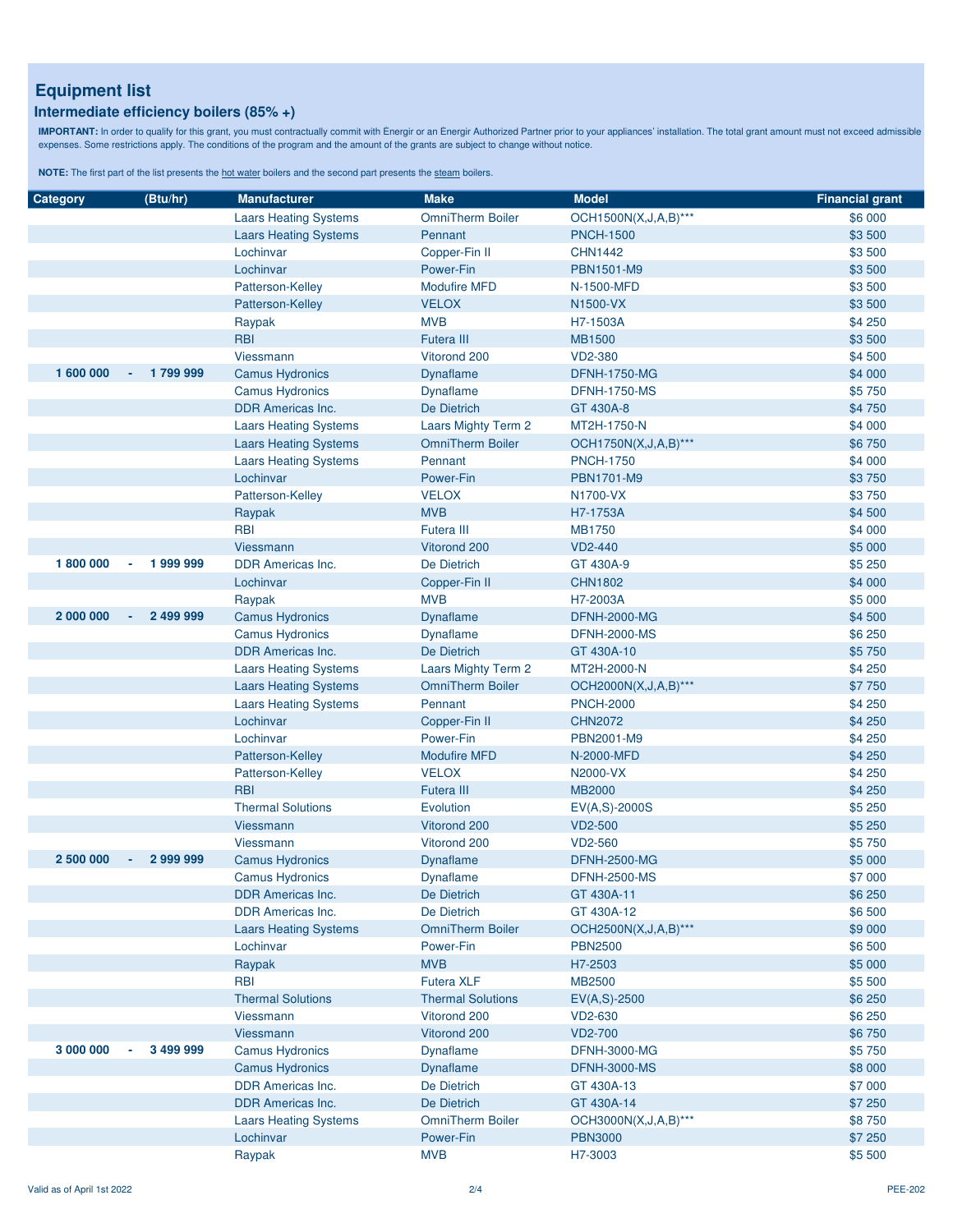### **Intermediate efficiency boilers (85% +)**

IMPORTANT: In order to qualify for this grant, you must contractually commit with Energir or an Energir Authorized Partner prior to your appliances' installation. The total grant amount must not exceed admissible<br>expenses.

| Category  | (Btu/hr)            | <b>Manufacturer</b>          | <b>Make</b>              | <b>Model</b>            | <b>Financial grant</b> |
|-----------|---------------------|------------------------------|--------------------------|-------------------------|------------------------|
|           |                     | <b>Laars Heating Systems</b> | <b>OmniTherm Boiler</b>  | OCH1500N(X,J,A,B)***    | \$6 000                |
|           |                     | <b>Laars Heating Systems</b> | Pennant                  | <b>PNCH-1500</b>        | \$3 500                |
|           |                     | Lochinvar                    | Copper-Fin II            | <b>CHN1442</b>          | \$3 500                |
|           |                     | Lochinvar                    | Power-Fin                | PBN1501-M9              | \$3 500                |
|           |                     | Patterson-Kelley             | <b>Modufire MFD</b>      | N-1500-MFD              | \$3 500                |
|           |                     | Patterson-Kelley             | <b>VELOX</b>             | N1500-VX                | \$3 500                |
|           |                     | Raypak                       | <b>MVB</b>               | H7-1503A                | \$4 250                |
|           |                     | <b>RBI</b>                   | <b>Futera III</b>        | <b>MB1500</b>           | \$3 500                |
|           |                     | Viessmann                    | Vitorond 200             | <b>VD2-380</b>          | \$4 500                |
| 1 600 000 | $-1799999$          | <b>Camus Hydronics</b>       | <b>Dynaflame</b>         | <b>DFNH-1750-MG</b>     | \$4 000                |
|           |                     | <b>Camus Hydronics</b>       | <b>Dynaflame</b>         | <b>DFNH-1750-MS</b>     | \$5750                 |
|           |                     | <b>DDR Americas Inc.</b>     | De Dietrich              | GT 430A-8               | \$4 750                |
|           |                     | <b>Laars Heating Systems</b> | Laars Mighty Term 2      | MT2H-1750-N             | \$4 000                |
|           |                     | <b>Laars Heating Systems</b> | <b>OmniTherm Boiler</b>  | OCH1750N(X, J, A, B)*** | \$6750                 |
|           |                     | <b>Laars Heating Systems</b> | Pennant                  | <b>PNCH-1750</b>        | \$4 000                |
|           |                     | Lochinvar                    | Power-Fin                | <b>PBN1701-M9</b>       | \$3750                 |
|           |                     | Patterson-Kelley             | <b>VELOX</b>             | N1700-VX                | \$3750                 |
|           |                     | Raypak                       | <b>MVB</b>               | H7-1753A                | \$4 500                |
|           |                     | <b>RBI</b>                   | <b>Futera III</b>        | <b>MB1750</b>           | \$4 000                |
|           |                     | <b>Viessmann</b>             | Vitorond 200             | <b>VD2-440</b>          | \$5 000                |
| 1800000   | 1999999             | <b>DDR Americas Inc.</b>     | De Dietrich              | GT 430A-9               | \$5 250                |
|           |                     | Lochinvar                    | Copper-Fin II            | <b>CHN1802</b>          | \$4 000                |
|           |                     | Raypak                       | <b>MVB</b>               | H7-2003A                | \$5 000                |
| 2 000 000 | 2 499 999<br>$\sim$ | <b>Camus Hydronics</b>       | <b>Dynaflame</b>         | <b>DFNH-2000-MG</b>     | \$4 500                |
|           |                     | <b>Camus Hydronics</b>       | <b>Dynaflame</b>         | <b>DFNH-2000-MS</b>     | \$6 250                |
|           |                     | <b>DDR Americas Inc.</b>     | <b>De Dietrich</b>       | GT 430A-10              | \$5750                 |
|           |                     | <b>Laars Heating Systems</b> | Laars Mighty Term 2      | MT2H-2000-N             | \$4 250                |
|           |                     | <b>Laars Heating Systems</b> | <b>OmniTherm Boiler</b>  | OCH2000N(X, J, A, B)*** | \$7750                 |
|           |                     | <b>Laars Heating Systems</b> | Pennant                  | <b>PNCH-2000</b>        | \$4 250                |
|           |                     | Lochinvar                    | Copper-Fin II            | <b>CHN2072</b>          | \$4 250                |
|           |                     | Lochinvar                    | Power-Fin                | PBN2001-M9              | \$4 250                |
|           |                     | Patterson-Kelley             | <b>Modufire MFD</b>      | N-2000-MFD              | \$4 250                |
|           |                     | Patterson-Kelley             | <b>VELOX</b>             | N2000-VX                | \$4 250                |
|           |                     | <b>RBI</b>                   | <b>Futera III</b>        | <b>MB2000</b>           | \$4 250                |
|           |                     | <b>Thermal Solutions</b>     | Evolution                | EV(A,S)-2000S           | \$5 250                |
|           |                     | Viessmann                    | Vitorond 200             | <b>VD2-500</b>          | \$5 250                |
|           |                     | Viessmann                    | Vitorond 200             | VD2-560                 | \$5750                 |
| 2 500 000 | 2 999 999           | <b>Camus Hydronics</b>       | <b>Dynaflame</b>         | <b>DFNH-2500-MG</b>     | \$5 000                |
|           |                     | <b>Camus Hydronics</b>       | <b>Dynaflame</b>         | <b>DFNH-2500-MS</b>     | \$7 000                |
|           |                     | <b>DDR Americas Inc.</b>     | De Dietrich              | GT 430A-11              | \$6 250                |
|           |                     | <b>DDR Americas Inc.</b>     | <b>De Dietrich</b>       | GT 430A-12              | \$6 500                |
|           |                     | <b>Laars Heating Systems</b> | <b>OmniTherm Boiler</b>  | OCH2500N(X, J, A, B)*** | \$9 000                |
|           |                     | Lochinvar                    | Power-Fin                | <b>PBN2500</b>          | \$6 500                |
|           |                     | Raypak                       | <b>MVB</b>               | H7-2503                 | \$5 000                |
|           |                     | <b>RBI</b>                   | <b>Futera XLF</b>        | <b>MB2500</b>           | \$5 500                |
|           |                     | <b>Thermal Solutions</b>     | <b>Thermal Solutions</b> | $EV(A, S) - 2500$       | \$6 250                |
|           |                     | Viessmann                    | Vitorond 200             | VD2-630                 | \$6 250                |
|           |                     | Viessmann                    | Vitorond 200             | <b>VD2-700</b>          | \$6750                 |
| 3 000 000 | 3 499 999           | <b>Camus Hydronics</b>       | <b>Dynaflame</b>         | <b>DFNH-3000-MG</b>     | \$5750                 |
|           |                     | <b>Camus Hydronics</b>       | Dynaflame                | <b>DFNH-3000-MS</b>     | \$8 000                |
|           |                     | <b>DDR Americas Inc.</b>     | De Dietrich              | GT 430A-13              | \$7 000                |
|           |                     | <b>DDR Americas Inc.</b>     | De Dietrich              | GT 430A-14              | \$7 250                |
|           |                     | <b>Laars Heating Systems</b> | <b>OmniTherm Boiler</b>  | OCH3000N(X,J,A,B)***    | \$8750                 |
|           |                     | Lochinvar                    | Power-Fin                | <b>PBN3000</b>          | \$7 250                |
|           |                     | Raypak                       | <b>MVB</b>               | H7-3003                 | \$5 500                |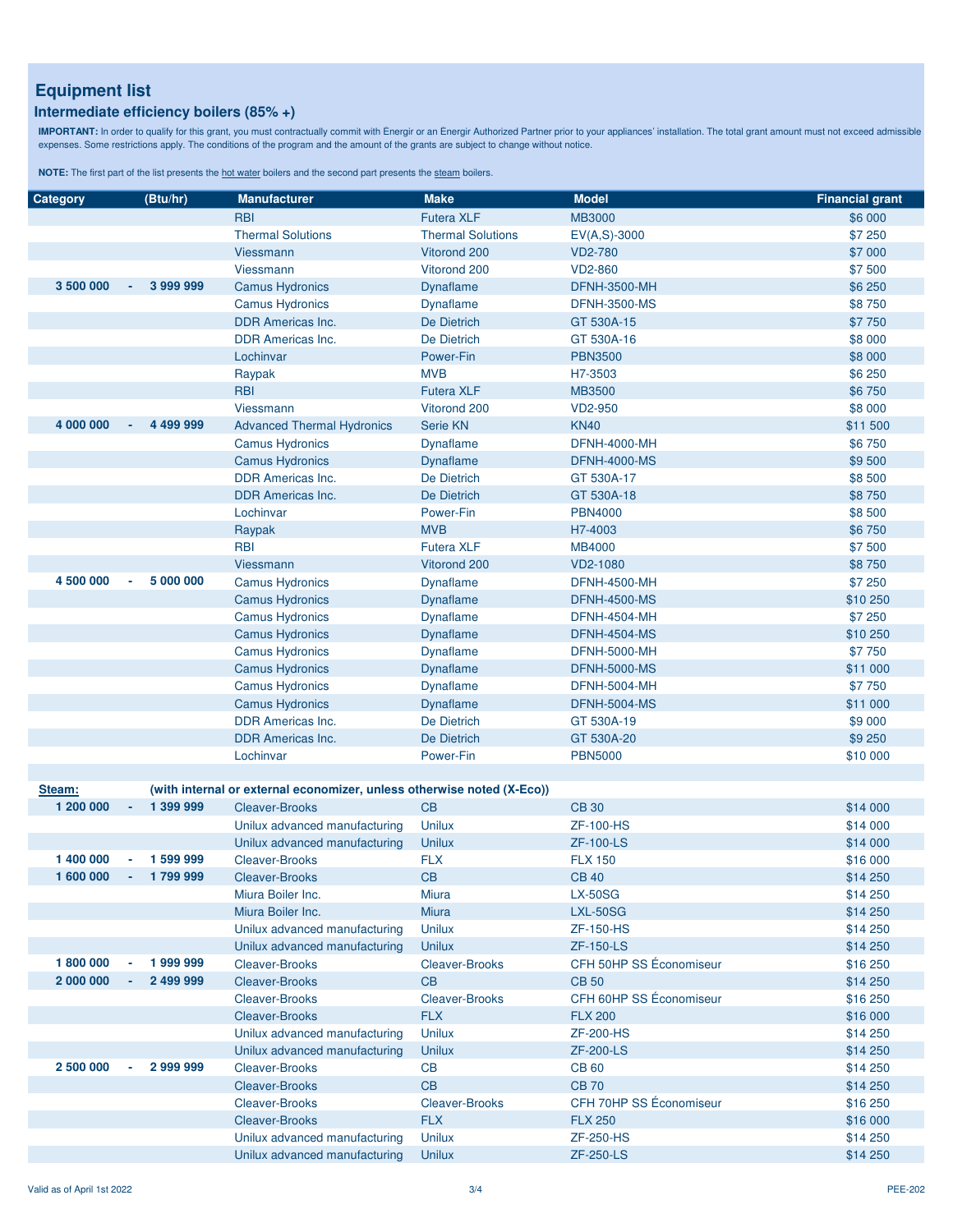### **Intermediate efficiency boilers (85% +)**

IMPORTANT: In order to qualify for this grant, you must contractually commit with Energir or an Energir Authorized Partner prior to your appliances' installation. The total grant amount must not exceed admissible<br>expenses.

| Category  | (Btu/hr)  | <b>Manufacturer</b>                                                    | <b>Make</b>              | <b>Model</b>            | <b>Financial grant</b> |
|-----------|-----------|------------------------------------------------------------------------|--------------------------|-------------------------|------------------------|
|           |           | <b>RBI</b>                                                             | <b>Futera XLF</b>        | <b>MB3000</b>           | \$6 000                |
|           |           | <b>Thermal Solutions</b>                                               | <b>Thermal Solutions</b> | $EV(A, S) - 3000$       | \$7 250                |
|           |           | Viessmann                                                              | Vitorond 200             | <b>VD2-780</b>          | \$7 000                |
|           |           | Viessmann                                                              | Vitorond 200             | <b>VD2-860</b>          | \$7 500                |
| 3 500 000 | 3 999 999 | <b>Camus Hydronics</b>                                                 | <b>Dynaflame</b>         | <b>DFNH-3500-MH</b>     | \$6 250                |
|           |           | <b>Camus Hydronics</b>                                                 | Dynaflame                | <b>DFNH-3500-MS</b>     | \$8750                 |
|           |           | <b>DDR Americas Inc.</b>                                               | De Dietrich              | GT 530A-15              | \$7 750                |
|           |           | <b>DDR Americas Inc.</b>                                               | De Dietrich              | GT 530A-16              | \$8 000                |
|           |           | Lochinvar                                                              | Power-Fin                | <b>PBN3500</b>          | \$8 000                |
|           |           | Raypak                                                                 | <b>MVB</b>               | H7-3503                 | \$6 250                |
|           |           | <b>RBI</b>                                                             | <b>Futera XLF</b>        | <b>MB3500</b>           | \$6750                 |
|           |           | <b>Viessmann</b>                                                       | Vitorond 200             | <b>VD2-950</b>          | \$8 000                |
| 4 000 000 | 4 499 999 | <b>Advanced Thermal Hydronics</b>                                      | <b>Serie KN</b>          | <b>KN40</b>             | \$11 500               |
|           |           | <b>Camus Hydronics</b>                                                 | <b>Dynaflame</b>         | <b>DFNH-4000-MH</b>     | \$6750                 |
|           |           | <b>Camus Hydronics</b>                                                 | <b>Dynaflame</b>         | <b>DFNH-4000-MS</b>     | \$9500                 |
|           |           | DDR Americas Inc.                                                      | De Dietrich              | GT 530A-17              | \$8 500                |
|           |           | <b>DDR Americas Inc.</b>                                               | De Dietrich              | GT 530A-18              | \$8750                 |
|           |           | Lochinvar                                                              | Power-Fin                | <b>PBN4000</b>          | \$8 500                |
|           |           | Raypak                                                                 | <b>MVB</b>               | H7-4003                 | \$6750                 |
|           |           | <b>RBI</b>                                                             | <b>Futera XLF</b>        | <b>MB4000</b>           | \$7 500                |
|           |           | Viessmann                                                              | Vitorond 200             | VD2-1080                | \$8750                 |
| 4 500 000 | 5 000 000 | <b>Camus Hydronics</b>                                                 | <b>Dynaflame</b>         | <b>DFNH-4500-MH</b>     | \$7 250                |
|           |           | <b>Camus Hydronics</b>                                                 | <b>Dynaflame</b>         | <b>DFNH-4500-MS</b>     | \$10 250               |
|           |           | <b>Camus Hydronics</b>                                                 | Dynaflame                | <b>DFNH-4504-MH</b>     | \$7 250                |
|           |           | <b>Camus Hydronics</b>                                                 | <b>Dynaflame</b>         | <b>DFNH-4504-MS</b>     | \$10 250               |
|           |           | <b>Camus Hydronics</b>                                                 | <b>Dynaflame</b>         | <b>DFNH-5000-MH</b>     | \$7 750                |
|           |           | <b>Camus Hydronics</b>                                                 | <b>Dynaflame</b>         | <b>DFNH-5000-MS</b>     | \$11 000               |
|           |           | <b>Camus Hydronics</b>                                                 | Dynaflame                | <b>DFNH-5004-MH</b>     | \$7 750                |
|           |           | <b>Camus Hydronics</b>                                                 | <b>Dynaflame</b>         | <b>DFNH-5004-MS</b>     | \$11 000               |
|           |           | <b>DDR Americas Inc.</b>                                               | De Dietrich              | GT 530A-19              | \$9 000                |
|           |           | <b>DDR Americas Inc.</b>                                               | <b>De Dietrich</b>       | GT 530A-20              | \$9 250                |
|           |           | Lochinvar                                                              | Power-Fin                | <b>PBN5000</b>          | \$10 000               |
| Steam:    |           | (with internal or external economizer, unless otherwise noted (X-Eco)) |                          |                         |                        |
| 1 200 000 | 1 399 999 | <b>Cleaver-Brooks</b>                                                  | CB                       | <b>CB 30</b>            | \$14 000               |
|           |           | Unilux advanced manufacturing                                          | <b>Unilux</b>            | <b>ZF-100-HS</b>        | \$14 000               |
|           |           | Unilux advanced manufacturing                                          | <b>Unilux</b>            | <b>ZF-100-LS</b>        | \$14 000               |
| 1 400 000 | 1 599 999 | <b>Cleaver-Brooks</b>                                                  | <b>FLX</b>               | <b>FLX 150</b>          | \$16 000               |
| 1 600 000 | 1799999   | Cleaver-Brooks                                                         | CB                       | <b>CB 40</b>            | \$14 250               |
|           |           | Miura Boiler Inc.                                                      | Miura                    | <b>LX-50SG</b>          | \$14 250               |
|           |           | Miura Boiler Inc.                                                      | <b>Miura</b>             | <b>LXL-50SG</b>         | \$14 250               |
|           |           | Unilux advanced manufacturing                                          | <b>Unilux</b>            | <b>ZF-150-HS</b>        | \$14 250               |
|           |           | Unilux advanced manufacturing                                          | <b>Unilux</b>            | <b>ZF-150-LS</b>        | \$14 250               |
| 1800000   | 1999999   | <b>Cleaver-Brooks</b>                                                  | <b>Cleaver-Brooks</b>    | CFH 50HP SS Économiseur | \$16 250               |
| 2 000 000 | 2 499 999 | <b>Cleaver-Brooks</b>                                                  | <b>CB</b>                | <b>CB 50</b>            | \$14 250               |
|           |           | <b>Cleaver-Brooks</b>                                                  | <b>Cleaver-Brooks</b>    | CFH 60HP SS Économiseur | \$16 250               |
|           |           | <b>Cleaver-Brooks</b>                                                  | <b>FLX</b>               | <b>FLX 200</b>          | \$16 000               |
|           |           | Unilux advanced manufacturing                                          | <b>Unilux</b>            | <b>ZF-200-HS</b>        | \$14 250               |
|           |           | Unilux advanced manufacturing                                          | <b>Unilux</b>            | <b>ZF-200-LS</b>        | \$14 250               |
| 2 500 000 | 2 999 999 | <b>Cleaver-Brooks</b>                                                  | <b>CB</b>                | <b>CB 60</b>            | \$14 250               |
|           |           | <b>Cleaver-Brooks</b>                                                  | <b>CB</b>                | <b>CB 70</b>            | \$14 250               |
|           |           | <b>Cleaver-Brooks</b>                                                  | <b>Cleaver-Brooks</b>    | CFH 70HP SS Économiseur | \$16 250               |
|           |           | <b>Cleaver-Brooks</b>                                                  | <b>FLX</b>               | <b>FLX 250</b>          | \$16 000               |
|           |           | Unilux advanced manufacturing                                          | <b>Unilux</b>            | <b>ZF-250-HS</b>        | \$14 250               |
|           |           | Unilux advanced manufacturing                                          | <b>Unilux</b>            | <b>ZF-250-LS</b>        | \$14 250               |